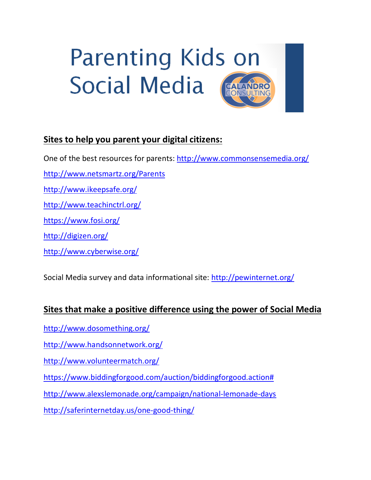# **Parenting Kids on Social Media CALANDRO**

## **Sites to help you parent your digital citizens:**

One of the best resources for parents:<http://www.commonsensemedia.org/>

<http://www.netsmartz.org/Parents>

<http://www.ikeepsafe.org/>

<http://www.teachinctrl.org/>

<https://www.fosi.org/>

<http://digizen.org/>

<http://www.cyberwise.org/>

Social Media survey and data informational site:<http://pewinternet.org/>

#### **Sites that make a positive difference using the power of Social Media**

<http://www.dosomething.org/>

<http://www.handsonnetwork.org/>

<http://www.volunteermatch.org/>

[https://www.biddingforgood.com/auction/biddingforgood.action#](https://www.biddingforgood.com/auction/biddingforgood.action)

<http://www.alexslemonade.org/campaign/national-lemonade-days>

<http://saferinternetday.us/one-good-thing/>